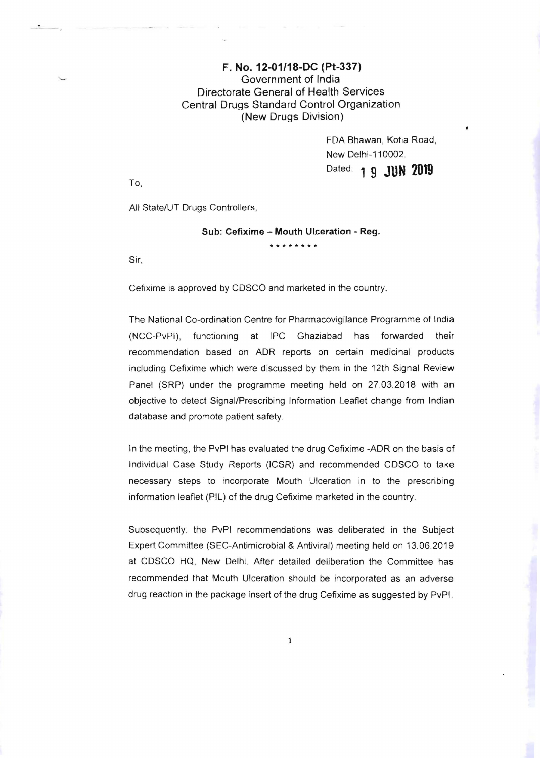## F. No. 12-01/18-DC (Pt-337) Government of India Directorate General of Health Services Central Drugs Standard Control Organization (New Drugs Division)

FDA Bhawan, Kotla Road, New Delhi-110002. Dated: 1 9 JUN 2019

To,

All State/UT Drugs Controllers,

## Sub: Cefixime - Mouth Ulceration - Reg. **\*\*\*\*\*\*\*\***

Sir.

Cefixime is approved by CDSCO and marketed in the country.

The National Co-ordination Centre for Pharmacovigilance Programme of India (NCC-PvPI), functioning at IPC Ghaziabad has forwarded their recommendation based on ADR reports on certain medicinal products including Cefixime which were discussed by them in the 12th Signal Review Panel (SRP) under the programme meeting held on 27.03.2018 with an objective to detect Signal/Prescribing Information Leaflet change from Indian database and promote patient safety.

In the meeting, the PvPI has evaluated the drug Cefixime -ADR on the basis of Individual Case Study Reports (ICSR) and recommended CDSCO to take necessary steps to incorporate Mouth Ulceration in to the prescribing information leaflet (PIL) of the drug Cefixime marketed in the country.

Subsequently. the PvPI recommendations was deliberated in the Subject Expert Committee (SEC-Antimicrobial & Antiviral) meeting held on 13.06.2019 at CDSCO HQ, New Delhi. After detailed deliberation the Committee has recommended that Mouth Ulceration should be incorporated as an adverse drug reaction in the package insert of the drug Cefixime as suggested by PvPI.